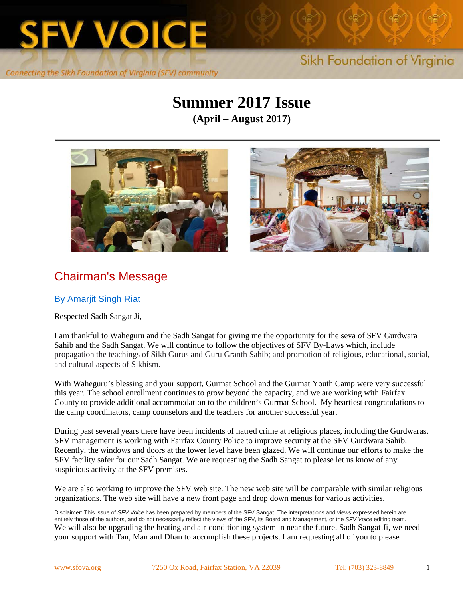

# **Summer 2017 Issue**

**(April – August 2017)**





# Chairman's Message

#### By Amarjit Singh Riat

Respected Sadh Sangat Ji,

I am thankful to Waheguru and the Sadh Sangat for giving me the opportunity for the seva of SFV Gurdwara Sahib and the Sadh Sangat. We will continue to follow the objectives of SFV By-Laws which, include propagation the teachings of Sikh Gurus and Guru Granth Sahib; and promotion of religious, educational, social, and cultural aspects of Sikhism.

With Waheguru's blessing and your support, Gurmat School and the Gurmat Youth Camp were very successful this year. The school enrollment continues to grow beyond the capacity, and we are working with Fairfax County to provide additional accommodation to the children's Gurmat School. My heartiest congratulations to the camp coordinators, camp counselors and the teachers for another successful year.

During past several years there have been incidents of hatred crime at religious places, including the Gurdwaras. SFV management is working with Fairfax County Police to improve security at the SFV Gurdwara Sahib. Recently, the windows and doors at the lower level have been glazed. We will continue our efforts to make the SFV facility safer for our Sadh Sangat. We are requesting the Sadh Sangat to please let us know of any suspicious activity at the SFV premises.

We are also working to improve the SFV web site. The new web site will be comparable with similar religious organizations. The web site will have a new front page and drop down menus for various activities.

Disclaimer: This issue of *SFV Voice* has been prepared by members of the SFV Sangat. The interpretations and views expressed herein are entirely those of the authors, and do not necessarily reflect the views of the SFV, its Board and Management, or the *SFV Voice* editing team. We will also be upgrading the heating and air-conditioning system in near the future. Sadh Sangat Ji, we need your support with Tan, Man and Dhan to accomplish these projects. I am requesting all of you to please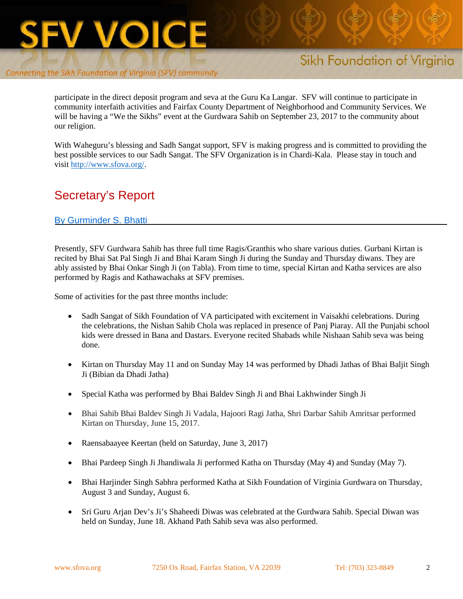

# Sikh Foundation of Virginia

participate in the direct deposit program and seva at the Guru Ka Langar. SFV will continue to participate in community interfaith activities and Fairfax County Department of Neighborhood and Community Services. We will be having a "We the Sikhs" event at the Gurdwara Sahib on September 23, 2017 to the community about our religion.

With Waheguru's blessing and Sadh Sangat support, SFV is making progress and is committed to providing the best possible services to our Sadh Sangat. The SFV Organization is in Chardi-Kala. Please stay in touch and visi[t http://www.sfova.org/.](http://www.sfova.org/)

# Secretary's Report

#### By Gurminder S. Bhatti

Presently, SFV Gurdwara Sahib has three full time Ragis/Granthis who share various duties. Gurbani Kirtan is recited by Bhai Sat Pal Singh Ji and Bhai Karam Singh Ji during the Sunday and Thursday diwans. They are ably assisted by Bhai Onkar Singh Ji (on Tabla). From time to time, special Kirtan and Katha services are also performed by Ragis and Kathawachaks at SFV premises.

Some of activities for the past three months include:

- Sadh Sangat of Sikh Foundation of VA participated with excitement in Vaisakhi celebrations. During the celebrations, the Nishan Sahib Chola was replaced in presence of Panj Piaray. All the Punjabi school kids were dressed in Bana and Dastars. Everyone recited Shabads while Nishaan Sahib seva was being done.
- Kirtan on Thursday May 11 and on Sunday May 14 was performed by Dhadi Jathas of Bhai Baljit Singh Ji (Bibian da Dhadi Jatha)
- Special Katha was performed by Bhai Baldev Singh Ji and Bhai Lakhwinder Singh Ji
- Bhai Sahib Bhai Baldev Singh Ji Vadala, Hajoori Ragi Jatha, Shri Darbar Sahib Amritsar performed Kirtan on Thursday, June 15, 2017.
- Raensabaayee Keertan (held on Saturday, June 3, 2017)
- Bhai Pardeep Singh Ji Jhandiwala Ji performed Katha on Thursday (May 4) and Sunday (May 7).
- Bhai Harjinder Singh Sabhra performed Katha at Sikh Foundation of Virginia Gurdwara on Thursday, August 3 and Sunday, August 6.
- Sri Guru Arjan Dev's Ji's Shaheedi Diwas was celebrated at the Gurdwara Sahib. Special Diwan was held on Sunday, June 18. Akhand Path Sahib seva was also performed.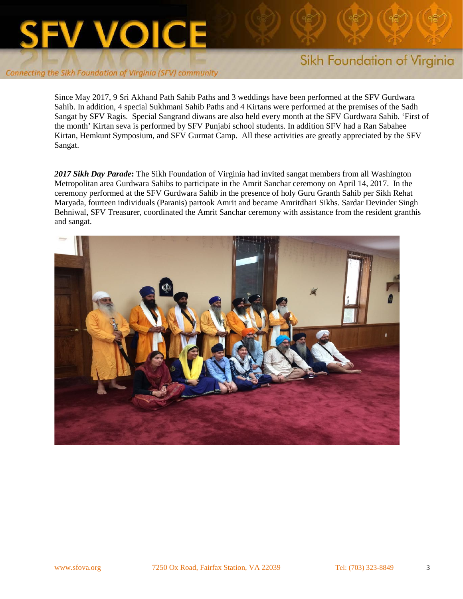

# Sikh Foundation of Virginia

Since May 2017, 9 Sri Akhand Path Sahib Paths and 3 weddings have been performed at the SFV Gurdwara Sahib. In addition, 4 special Sukhmani Sahib Paths and 4 Kirtans were performed at the premises of the Sadh Sangat by SFV Ragis. Special Sangrand diwans are also held every month at the SFV Gurdwara Sahib. 'First of the month' Kirtan seva is performed by SFV Punjabi school students. In addition SFV had a Ran Sabahee Kirtan, Hemkunt Symposium, and SFV Gurmat Camp. All these activities are greatly appreciated by the SFV Sangat.

*2017 Sikh Day Parade***:** The Sikh Foundation of Virginia had invited sangat members from all Washington Metropolitan area Gurdwara Sahibs to participate in the Amrit Sanchar ceremony on April 14, 2017. In the ceremony performed at the SFV Gurdwara Sahib in the presence of holy Guru Granth Sahib per Sikh Rehat Maryada, fourteen individuals (Paranis) partook Amrit and became Amritdhari Sikhs. Sardar Devinder Singh Behniwal, SFV Treasurer, coordinated the Amrit Sanchar ceremony with assistance from the resident granthis and sangat.

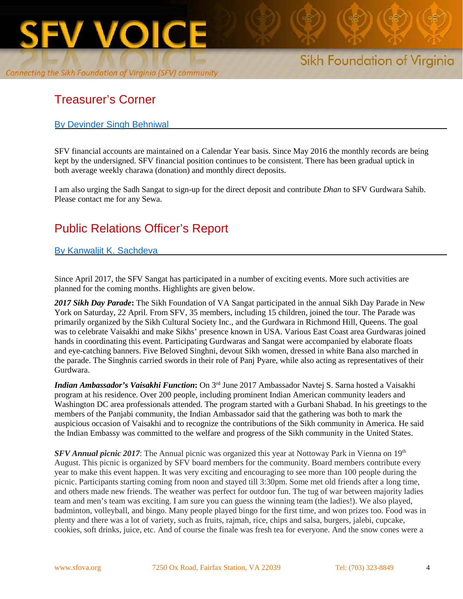

# Treasurer's Corner

## By Devinder Singh Behniwal

SFV financial accounts are maintained on a Calendar Year basis. Since May 2016 the monthly records are being kept by the undersigned. SFV financial position continues to be consistent. There has been gradual uptick in both average weekly charawa (donation) and monthly direct deposits.

I am also urging the Sadh Sangat to sign-up for the direct deposit and contribute *Dhan* to SFV Gurdwara Sahib. Please contact me for any Sewa.

# Public Relations Officer's Report

## By Kanwaljit K. Sachdeva

Since April 2017, the SFV Sangat has participated in a number of exciting events. More such activities are planned for the coming months. Highlights are given below.

*2017 Sikh Day Parade***:** The Sikh Foundation of VA Sangat participated in the annual Sikh Day Parade in New York on Saturday, 22 April. From SFV, 35 members, including 15 children, joined the tour. The Parade was primarily organized by the Sikh Cultural Society Inc., and the Gurdwara in Richmond Hill, Queens. The goal was to celebrate Vaisakhi and make Sikhs' presence known in USA. Various East Coast area Gurdwaras joined hands in coordinating this event. Participating Gurdwaras and Sangat were accompanied by elaborate floats and eye-catching banners. Five Beloved Singhni, devout Sikh women, dressed in white Bana also marched in the parade. The Singhnis carried swords in their role of Panj Pyare, while also acting as representatives of their Gurdwara.

*Indian Ambassador's Vaisakhi Function***:** On 3rd June 2017 Ambassador Navtej S. Sarna hosted a Vaisakhi program at his residence. Over 200 people, including prominent Indian American community leaders and Washington DC area professionals attended. The program started with a Gurbani Shabad. In his greetings to the members of the Panjabi community, the Indian Ambassador said that the gathering was both to mark the auspicious occasion of Vaisakhi and to recognize the contributions of the Sikh community in America. He said the Indian Embassy was committed to the welfare and progress of the Sikh community in the United States.

*SFV Annual picnic 2017*: The Annual picnic was organized this year at Nottoway Park in Vienna on 19<sup>th</sup> August. This picnic is organized by SFV board members for the community. Board members contribute every year to make this event happen. It was very exciting and encouraging to see more than 100 people during the picnic. Participants starting coming from noon and stayed till 3:30pm. Some met old friends after a long time, and others made new friends. The weather was perfect for outdoor fun. The tug of war between majority ladies team and men's team was exciting. I am sure you can guess the winning team (the ladies!). We also played, badminton, volleyball, and bingo. Many people played bingo for the first time, and won prizes too. Food was in plenty and there was a lot of variety, such as fruits, rajmah, rice, chips and salsa, burgers, jalebi, cupcake, cookies, soft drinks, juice, etc. And of course the finale was fresh tea for everyone. And the snow cones were a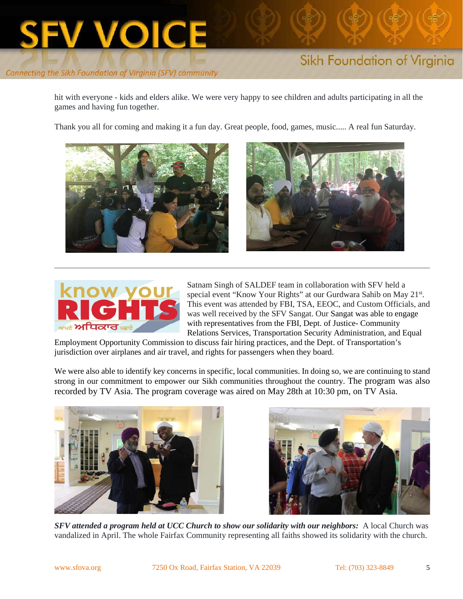

hit with everyone - kids and elders alike. We were very happy to see children and adults participating in all the games and having fun together.

Thank you all for coming and making it a fun day. Great people, food, games, music..... A real fun Saturday.







Satnam Singh of SALDEF team in collaboration with SFV held a special event "Know Your Rights" at our Gurdwara Sahib on May 21st. This event was attended by FBI, TSA, EEOC, and Custom Officials, and was well received by the SFV Sangat. Our Sangat was able to engage with representatives from the FBI, Dept. of Justice- Community Relations Services, Transportation Security Administration, and Equal

Employment Opportunity Commission to discuss fair hiring practices, and the Dept. of Transportation's jurisdiction over airplanes and air travel, and rights for passengers when they board.

We were also able to identify key concerns in specific, local communities. In doing so, we are continuing to stand strong in our commitment to empower our Sikh communities throughout the country. The program was also recorded by TV Asia. The program coverage was aired on May 28th at 10:30 pm, on TV Asia.





*SFV attended a program held at UCC Church to show our solidarity with our neighbors:* A local Church was vandalized in April. The whole Fairfax Community representing all faiths showed its solidarity with the church.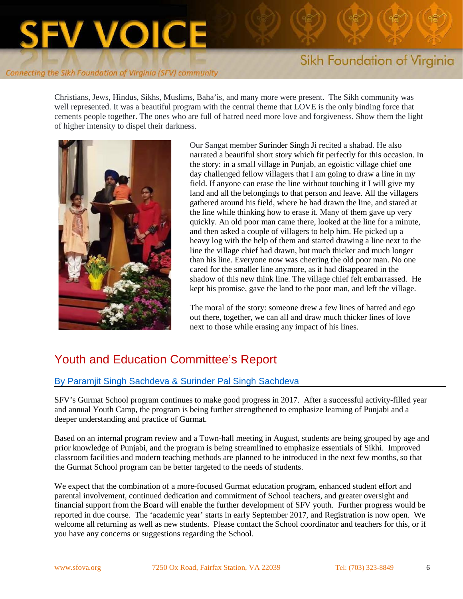# **FV VOICE**

#### Connecting the Sikh Foundation of Virginia (SFV) community

# Sikh Foundation of Virginia

Christians, Jews, Hindus, Sikhs, Muslims, Baha'is, and many more were present. The Sikh community was well represented. It was a beautiful program with the central theme that LOVE is the only binding force that cements people together. The ones who are full of hatred need more love and forgiveness. Show them the light of higher intensity to dispel their darkness.



Our Sangat member Surinder Singh Ji recited a shabad. He also narrated a beautiful short story which fit perfectly for this occasion. In the story: in a small village in Punjab, an egoistic village chief one day challenged fellow villagers that I am going to draw a line in my field. If anyone can erase the line without touching it I will give my land and all the belongings to that person and leave. All the villagers gathered around his field, where he had drawn the line, and stared at the line while thinking how to erase it. Many of them gave up very quickly. An old poor man came there, looked at the line for a minute, and then asked a couple of villagers to help him. He picked up a heavy log with the help of them and started drawing a line next to the line the village chief had drawn, but much thicker and much longer than his line. Everyone now was cheering the old poor man. No one cared for the smaller line anymore, as it had disappeared in the shadow of this new think line. The village chief felt embarrassed. He kept his promise, gave the land to the poor man, and left the village.

The moral of the story: someone drew a few lines of hatred and ego out there, together, we can all and draw much thicker lines of love next to those while erasing any impact of his lines.

# Youth and Education Committee's Report

#### By Paramjit Singh Sachdeva & Surinder Pal Singh Sachdeva

SFV's Gurmat School program continues to make good progress in 2017. After a successful activity-filled year and annual Youth Camp, the program is being further strengthened to emphasize learning of Punjabi and a deeper understanding and practice of Gurmat.

Based on an internal program review and a Town-hall meeting in August, students are being grouped by age and prior knowledge of Punjabi, and the program is being streamlined to emphasize essentials of Sikhi. Improved classroom facilities and modern teaching methods are planned to be introduced in the next few months, so that the Gurmat School program can be better targeted to the needs of students.

We expect that the combination of a more-focused Gurmat education program, enhanced student effort and parental involvement, continued dedication and commitment of School teachers, and greater oversight and financial support from the Board will enable the further development of SFV youth. Further progress would be reported in due course. The 'academic year' starts in early September 2017, and Registration is now open. We welcome all returning as well as new students. Please contact the School coordinator and teachers for this, or if you have any concerns or suggestions regarding the School.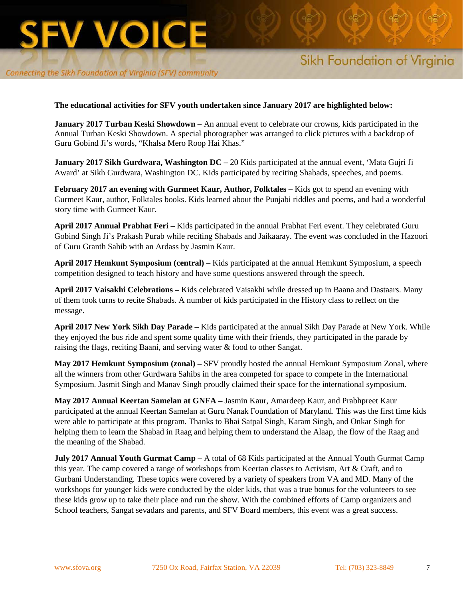

#### **The educational activities for SFV youth undertaken since January 2017 are highlighted below:**

**January 2017 Turban Keski Showdown** – An annual event to celebrate our crowns, kids participated in the Annual Turban Keski Showdown. A special photographer was arranged to click pictures with a backdrop of Guru Gobind Ji's words, "Khalsa Mero Roop Hai Khas."

**January 2017 Sikh Gurdwara, Washington DC –** 20 Kids participated at the annual event, 'Mata Gujri Ji Award' at Sikh Gurdwara, Washington DC. Kids participated by reciting Shabads, speeches, and poems.

**February 2017 an evening with Gurmeet Kaur, Author, Folktales –** Kids got to spend an evening with Gurmeet Kaur, author, Folktales books. Kids learned about the Punjabi riddles and poems, and had a wonderful story time with Gurmeet Kaur.

**April 2017 Annual Prabhat Feri –** Kids participated in the annual Prabhat Feri event. They celebrated Guru Gobind Singh Ji's Prakash Purab while reciting Shabads and Jaikaaray. The event was concluded in the Hazoori of Guru Granth Sahib with an Ardass by Jasmin Kaur.

**April 2017 Hemkunt Symposium (central) –** Kids participated at the annual Hemkunt Symposium, a speech competition designed to teach history and have some questions answered through the speech.

**April 2017 Vaisakhi Celebrations –** Kids celebrated Vaisakhi while dressed up in Baana and Dastaars. Many of them took turns to recite Shabads. A number of kids participated in the History class to reflect on the message.

**April 2017 New York Sikh Day Parade –** Kids participated at the annual Sikh Day Parade at New York. While they enjoyed the bus ride and spent some quality time with their friends, they participated in the parade by raising the flags, reciting Baani, and serving water & food to other Sangat.

**May 2017 Hemkunt Symposium (zonal) –** SFV proudly hosted the annual Hemkunt Symposium Zonal, where all the winners from other Gurdwara Sahibs in the area competed for space to compete in the International Symposium. Jasmit Singh and Manav Singh proudly claimed their space for the international symposium.

**May 2017 Annual Keertan Samelan at GNFA –** Jasmin Kaur, Amardeep Kaur, and Prabhpreet Kaur participated at the annual Keertan Samelan at Guru Nanak Foundation of Maryland. This was the first time kids were able to participate at this program. Thanks to Bhai Satpal Singh, Karam Singh, and Onkar Singh for helping them to learn the Shabad in Raag and helping them to understand the Alaap, the flow of the Raag and the meaning of the Shabad.

**July 2017 Annual Youth Gurmat Camp** – A total of 68 Kids participated at the Annual Youth Gurmat Camp this year. The camp covered a range of workshops from Keertan classes to Activism, Art & Craft, and to Gurbani Understanding. These topics were covered by a variety of speakers from VA and MD. Many of the workshops for younger kids were conducted by the older kids, that was a true bonus for the volunteers to see these kids grow up to take their place and run the show. With the combined efforts of Camp organizers and School teachers, Sangat sevadars and parents, and SFV Board members, this event was a great success.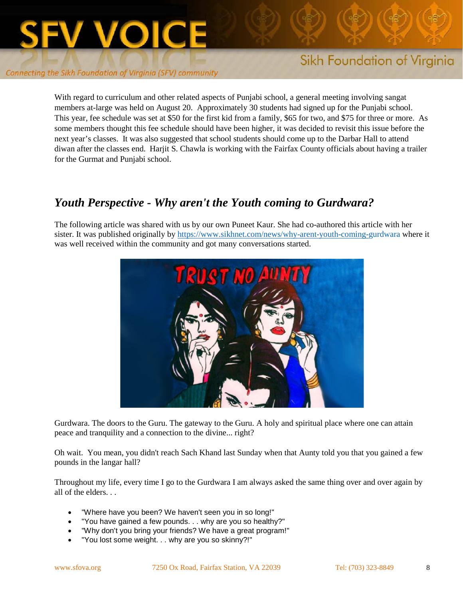

With regard to curriculum and other related aspects of Punjabi school, a general meeting involving sangat members at-large was held on August 20. Approximately 30 students had signed up for the Punjabi school. This year, fee schedule was set at \$50 for the first kid from a family, \$65 for two, and \$75 for three or more. As some members thought this fee schedule should have been higher, it was decided to revisit this issue before the next year's classes. It was also suggested that school students should come up to the Darbar Hall to attend diwan after the classes end. Harjit S. Chawla is working with the Fairfax County officials about having a trailer for the Gurmat and Punjabi school.

# *Youth Perspective - Why aren't the Youth coming to Gurdwara?*

The following article was shared with us by our own Puneet Kaur. She had co-authored this article with her sister. It was published originally by<https://www.sikhnet.com/news/why-arent-youth-coming-gurdwara> where it was well received within the community and got many conversations started.



Gurdwara. The doors to the Guru. The gateway to the Guru. A holy and spiritual place where one can attain peace and tranquility and a connection to the divine... right?

Oh wait. You mean, you didn't reach Sach Khand last Sunday when that Aunty told you that you gained a few pounds in the langar hall?

Throughout my life, every time I go to the Gurdwara I am always asked the same thing over and over again by all of the elders.

- "Where have you been? We haven't seen you in so long!"
- "You have gained a few pounds. . . why are you so healthy?"
- "Why don't you bring your friends? We have a great program!"
- "You lost some weight. . . why are you so skinny?!"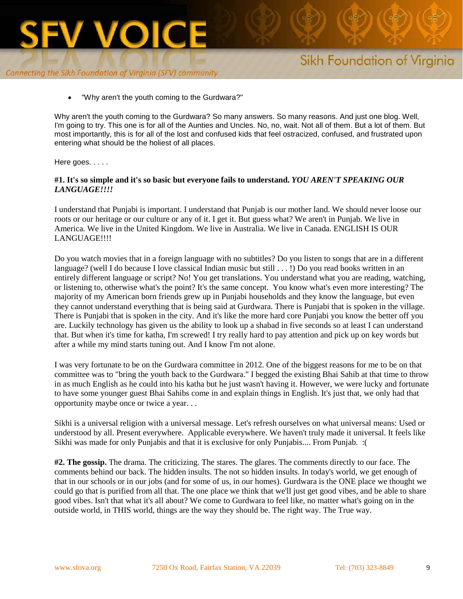

# Sikh Foundation of Virginia

"Why aren't the youth coming to the Gurdwara?"

Why aren't the youth coming to the Gurdwara? So many answers. So many reasons. And just one blog. Well, I'm going to try. This one is for all of the Aunties and Uncles. No, no, wait. Not all of them. But a lot of them. But most importantly, this is for all of the lost and confused kids that feel ostracized, confused, and frustrated upon entering what should be the holiest of all places.

Here goes. . . . .

#### **#1. It's so simple and it's so basic but everyone fails to understand.** *YOU AREN'T SPEAKING OUR LANGUAGE!!!!*

I understand that Punjabi is important. I understand that Punjab is our mother land. We should never loose our roots or our heritage or our culture or any of it. I get it. But guess what? We aren't in Punjab. We live in America. We live in the United Kingdom. We live in Australia. We live in Canada. ENGLISH IS OUR LANGUAGE!!!!

Do you watch movies that in a foreign language with no subtitles? Do you listen to songs that are in a different language? (well I do because I love classical Indian music but still . . . !) Do you read books written in an entirely different language or script? No! You get translations. You understand what you are reading, watching, or listening to, otherwise what's the point? It's the same concept. You know what's even more interesting? The majority of my American born friends grew up in Punjabi households and they know the language, but even they cannot understand everything that is being said at Gurdwara. There is Punjabi that is spoken in the village. There is Punjabi that is spoken in the city. And it's like the more hard core Punjabi you know the better off you are. Luckily technology has given us the ability to look up a shabad in five seconds so at least I can understand that. But when it's time for katha, I'm screwed! I try really hard to pay attention and pick up on key words but after a while my mind starts tuning out. And I know I'm not alone.

I was very fortunate to be on the Gurdwara committee in 2012. One of the biggest reasons for me to be on that committee was to "bring the youth back to the Gurdwara." I begged the existing Bhai Sahib at that time to throw in as much English as he could into his katha but he just wasn't having it. However, we were lucky and fortunate to have some younger guest Bhai Sahibs come in and explain things in English. It's just that, we only had that opportunity maybe once or twice a year. . .

Sikhi is a universal religion with a universal message. Let's refresh ourselves on what universal means: Used or understood by all. Present everywhere. Applicable everywhere. We haven't truly made it universal. It feels like Sikhi was made for only Punjabis and that it is exclusive for only Punjabis.... From Punjab. :(

**#2. The gossip.** The drama. The criticizing. The stares. The glares. The comments directly to our face. The comments behind our back. The hidden insults. The not so hidden insults. In today's world, we get enough of that in our schools or in our jobs (and for some of us, in our homes). Gurdwara is the ONE place we thought we could go that is purified from all that. The one place we think that we'll just get good vibes, and be able to share good vibes. Isn't that what it's all about? We come to Gurdwara to feel like, no matter what's going on in the outside world, in THIS world, things are the way they should be. The right way. The True way.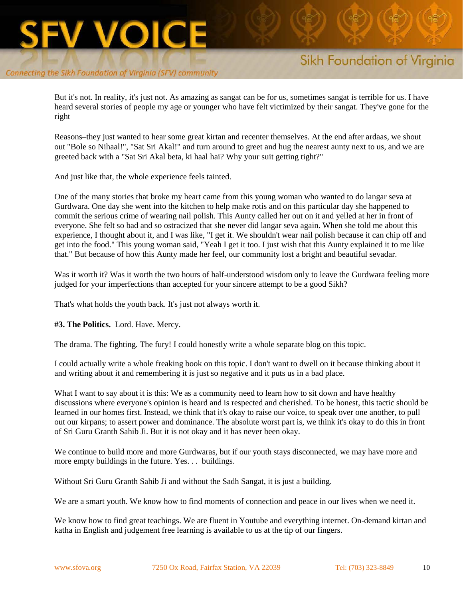# Sikh Foundation of Virginia

But it's not. In reality, it's just not. As amazing as sangat can be for us, sometimes sangat is terrible for us. I have heard several stories of people my age or younger who have felt victimized by their sangat. They've gone for the right

Reasons–they just wanted to hear some great kirtan and recenter themselves. At the end after ardaas, we shout out "Bole so Nihaal!", "Sat Sri Akal!" and turn around to greet and hug the nearest aunty next to us, and we are greeted back with a "Sat Sri Akal beta, ki haal hai? Why your suit getting tight?"

And just like that, the whole experience feels tainted.

One of the many stories that broke my heart came from this young woman who wanted to do langar seva at Gurdwara. One day she went into the kitchen to help make rotis and on this particular day she happened to commit the serious crime of wearing nail polish. This Aunty called her out on it and yelled at her in front of everyone. She felt so bad and so ostracized that she never did langar seva again. When she told me about this experience, I thought about it, and I was like, "I get it. We shouldn't wear nail polish because it can chip off and get into the food." This young woman said, "Yeah I get it too. I just wish that this Aunty explained it to me like that." But because of how this Aunty made her feel, our community lost a bright and beautiful sevadar.

Was it worth it? Was it worth the two hours of half-understood wisdom only to leave the Gurdwara feeling more judged for your imperfections than accepted for your sincere attempt to be a good Sikh?

That's what holds the youth back. It's just not always worth it.

**#3. The Politics.** Lord. Have. Mercy.

The drama. The fighting. The fury! I could honestly write a whole separate blog on this topic.

I could actually write a whole freaking book on this topic. I don't want to dwell on it because thinking about it and writing about it and remembering it is just so negative and it puts us in a bad place.

What I want to say about it is this: We as a community need to learn how to sit down and have healthy discussions where everyone's opinion is heard and is respected and cherished. To be honest, this tactic should be learned in our homes first. Instead, we think that it's okay to raise our voice, to speak over one another, to pull out our kirpans; to assert power and dominance. The absolute worst part is, we think it's okay to do this in front of Sri Guru Granth Sahib Ji. But it is not okay and it has never been okay.

We continue to build more and more Gurdwaras, but if our youth stays disconnected, we may have more and more empty buildings in the future. Yes. . . buildings.

Without Sri Guru Granth Sahib Ji and without the Sadh Sangat, it is just a building.

We are a smart youth. We know how to find moments of connection and peace in our lives when we need it.

We know how to find great teachings. We are fluent in Youtube and everything internet. On-demand kirtan and katha in English and judgement free learning is available to us at the tip of our fingers.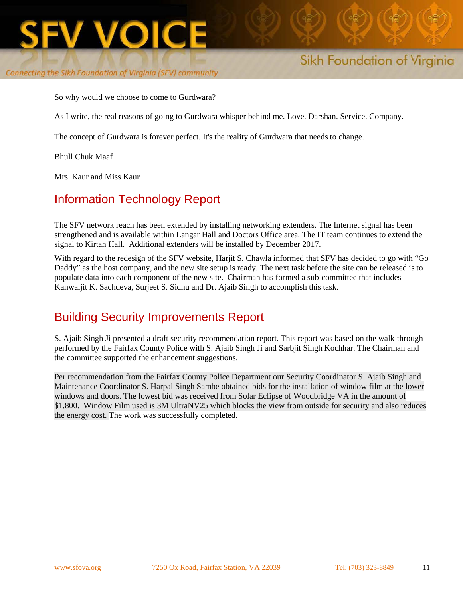

# Sikh Foundation of Virginia

So why would we choose to come to Gurdwara?

As I write, the real reasons of going to Gurdwara whisper behind me. Love. Darshan. Service. Company.

The concept of Gurdwara is forever perfect. It's the reality of Gurdwara that needs to change.

Bhull Chuk Maaf

Mrs. Kaur and Miss Kaur

## Information Technology Report

The SFV network reach has been extended by installing networking extenders. The Internet signal has been strengthened and is available within Langar Hall and Doctors Office area. The IT team continues to extend the signal to Kirtan Hall. Additional extenders will be installed by December 2017.

With regard to the redesign of the SFV website, Harjit S. Chawla informed that SFV has decided to go with "Go Daddy" as the host company, and the new site setup is ready. The next task before the site can be released is to populate data into each component of the new site. Chairman has formed a sub-committee that includes Kanwaljit K. Sachdeva, Surjeet S. Sidhu and Dr. Ajaib Singh to accomplish this task.

# Building Security Improvements Report

S. Ajaib Singh Ji presented a draft security recommendation report. This report was based on the walk-through performed by the Fairfax County Police with S. Ajaib Singh Ji and Sarbjit Singh Kochhar. The Chairman and the committee supported the enhancement suggestions.

Per recommendation from the Fairfax County Police Department our Security Coordinator S. Ajaib Singh and Maintenance Coordinator S. Harpal Singh Sambe obtained bids for the installation of window film at the lower windows and doors. The lowest bid was received from Solar Eclipse of Woodbridge VA in the amount of \$1,800. Window Film used is 3M UltraNV25 which blocks the view from outside for security and also reduces the energy cost. The work was successfully completed.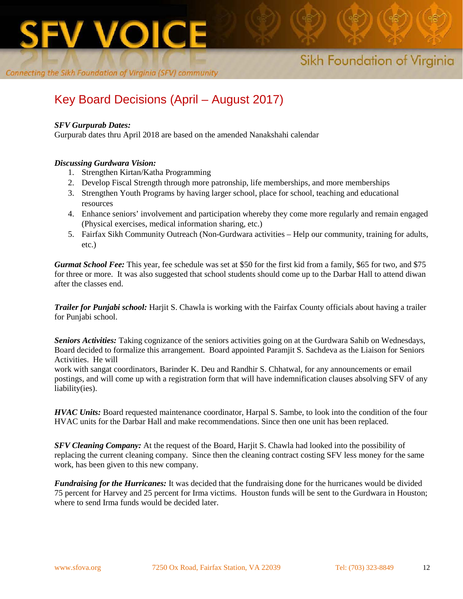

# Key Board Decisions (April – August 2017)

#### *SFV Gurpurab Dates:*

Gurpurab dates thru April 2018 are based on the amended Nanakshahi calendar

#### *Discussing Gurdwara Vision:*

- 1. Strengthen Kirtan/Katha Programming
- 2. Develop Fiscal Strength through more patronship, life memberships, and more memberships
- 3. Strengthen Youth Programs by having larger school, place for school, teaching and educational resources
- 4. Enhance seniors' involvement and participation whereby they come more regularly and remain engaged (Physical exercises, medical information sharing, etc.)
- 5. Fairfax Sikh Community Outreach (Non-Gurdwara activities Help our community, training for adults, etc.)

*Gurmat School Fee:* This year, fee schedule was set at \$50 for the first kid from a family, \$65 for two, and \$75 for three or more. It was also suggested that school students should come up to the Darbar Hall to attend diwan after the classes end.

*Trailer for Punjabi school:* Harjit S. Chawla is working with the Fairfax County officials about having a trailer for Punjabi school.

*Seniors Activities:* Taking cognizance of the seniors activities going on at the Gurdwara Sahib on Wednesdays, Board decided to formalize this arrangement. Board appointed Paramjit S. Sachdeva as the Liaison for Seniors Activities. He will

work with sangat coordinators, Barinder K. Deu and Randhir S. Chhatwal, for any announcements or email postings, and will come up with a registration form that will have indemnification clauses absolving SFV of any liability(ies).

*HVAC Units:* Board requested maintenance coordinator, Harpal S. Sambe, to look into the condition of the four HVAC units for the Darbar Hall and make recommendations. Since then one unit has been replaced.

*SFV Cleaning Company:* At the request of the Board, Harjit S. Chawla had looked into the possibility of replacing the current cleaning company. Since then the cleaning contract costing SFV less money for the same work, has been given to this new company.

*Fundraising for the Hurricanes:* It was decided that the fundraising done for the hurricanes would be divided 75 percent for Harvey and 25 percent for Irma victims. Houston funds will be sent to the Gurdwara in Houston; where to send Irma funds would be decided later.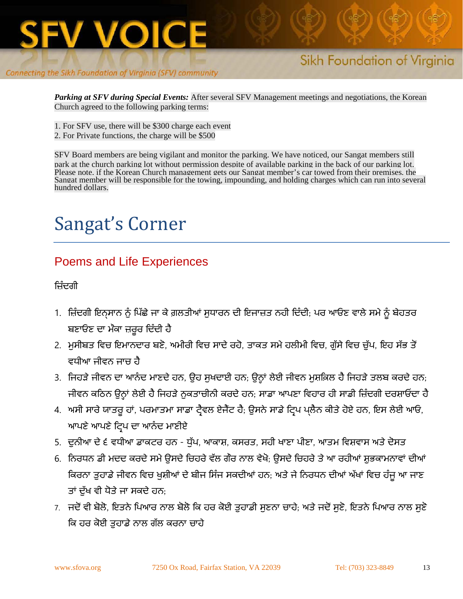

*Parking at SFV during Special Events:* After several SFV Management meetings and negotiations, the Korean Church agreed to the following parking terms:

- 1. For SFV use, there will be \$300 charge each event
- 2. For Private functions, the charge will be \$500

SFV Board members are being vigilant and monitor the parking. We have noticed, our Sangat members still park at the church parking lot without permission despite of available parking in the back of our parking lot. Please note, if the Korean Church management gets our Sangat member's car towed from their premises, the Sangat member will be responsible for the towing, impounding, and holding charges which can run into several hundred dollars.

# Sangat's Corner

# Poems and Life Experiences

ਿਜ਼ੰਦਗੀ

- 1. ਿਜ਼ੰਦਗੀ ਇਨ੍ਸਾਨ ਨੁੰ ਿਪੱਛੇਜਾ ਕੇਗ਼ਲਤੀਆਂ ਸੁਧਾਰਨ ਦੀ ਇਜਾਜ਼ਤ ਨਹੀ ਿਦੰਦੀ; ਪਰ ਆਓਣ ਵਾਲੇਸਮੇਨੂੰ ਬੇਹਤਰ ਬਣਾਓਣ ਦਾ ਮੌਕਾ ਜ਼ਰੂਰ ਿਦੰਦੀ ਹੈ
- 2. ਮੁਸੀਬਤ ਵਿਚ ਇਮਾਨਦਾਰ ਬਣੋ, ਅਮੀਰੀ ਵਿਚ ਸਾਦੇ ਰਹੋ, ਤਾਕਤ ਸਮੇ ਹਲੀਮੀ ਵਿਚ, ਗੁੱਸੇ ਵਿਚ ਚੁੱਪ, ਇਹ ਸੱਭ ਤੋਂ ਵਧੀਆ ਜੀਵਨ ਜਾਚ ਹੈ
- 3. ਜਿਹੜੇ ਜੀਵਨ ਦਾ ਆਨੰਦ ਮਾਣਦੇ ਹਨ, ਉਹ ਸੁਖਦਾਈ ਹਨ; ਉਨ੍ਹਾਂ ਲੇਈ ਜੀਵਨ ਮੁਸ਼ਕ਼ਿਲ ਹੈ ਜਿਹੜੇ ਤਲਬ ਕਰਦੇ ਹਨ; ਜੀਵਨ ਕਠਿਨ ਉਨ੍ਹਾਂ ਲੇਈ ਹੈੈ ਜਿਹੜੇ ਨੁਕਤਾਚੀਨੀ ਕਰਦੇ ਹਨ; ਸਾਡਾ ਆਪਣਾ ਵਿਹਾਰ ਹੀ ਸਾਡੀ ਜ਼ਿੰਦਗੀ ਦਰਸ਼ਾਓਂਦਾ ਹੈੈ
- 4. ਅਸੀ ਸਾਰੇ ਯਾਤਰੂ ਹਾਂ, ਪਰਮਾਤਮਾ ਸਾਡਾ ਟ੍ਰੈਵਲ ਏਜੈਂਟ ਹੈ; ਉਸਨੇ ਸਾਡੇ ਟ੍ਰਿਪ ਪ੍ਲੈਨ ਕੀਤੇ ਹੋਏ ਹਨ, ਇਸ ਲੇਈ ਆਓ, ਆਪਣੇ ਆਪਣੇ ਟਿਪ ਦਾ ਆਨੰਦ ਮਾਣੀਏ
- 5. ਦੁਨੀਆ ਦੇ੬ ਵਧੀਆ ਡਾਕਟਰ ਹਨ ਧੁੱਪ, ਆਕਾਸ਼, ਕਸਰਤ, ਸਹੀ ਖਾਣਾ ਪੀਣਾ, ਆਤਮ ਿਵਸ਼ਵਾਸ ਅਤੇਦੋਸਤ
- 6. ਨਿਰਧਨ ਡੀ ਮਦਦ ਕਰਦੇ ਸਮੇ ਉਸਦੇ ਚਿਹਰੇ ਵੱਲ ਗੌਰ ਨਾਲ ਵੇਖੋ; ਉਸਦੇ ਚਿਹਰੇ ਤੇ ਆ ਰਹੀਆਂ ਸ਼ਭਕਾਮਨਾਵਾਂ ਦੀਆਂ ਕਿਰਨਾ ਤੁਹਾਡੇ ਜੀਵਨ ਵਿਚ ਖੁਸ਼ੀਆਂ ਦੇ ਬੀਜ ਸਿੰਜ ਸਕਦੀਆਂ ਹਨ; ਅਤੇ ਜੇ ਨਿਰਧਨ ਦੀਆਂ ਅੱਖਾਂ ਵਿਚ ਹੰਜੂ ਆ ਜਾਣ ਤਾਂ ਦੱਖ ਵੀ ਧੋਤੇ ਜਾ ਸਕਦੇ ਹਨ;
- 7. ਜਦੋਂ ਵੀ ਬੋਲੋ, ਇਤਨੇ ਪਿਆਰ ਨਾਲ ਬੋਲੋ ਕਿ ਹਰ ਕੋਈ ਤੁਹਾਡੀ ਸੁਣਨਾ ਚਾਹੇ; ਅਤੇ ਜਦੋਂ ਸੁਣੋ, ਇਤਨੇ ਪਿਆਰ ਨਾਲ ਸੁਣੋ ਕਿ ਹਰ ਕੋਈ ਤੁਹਾਡੇ ਨਾਲ ਗੱਲ ਕਰਨਾ ਚਾਹੇ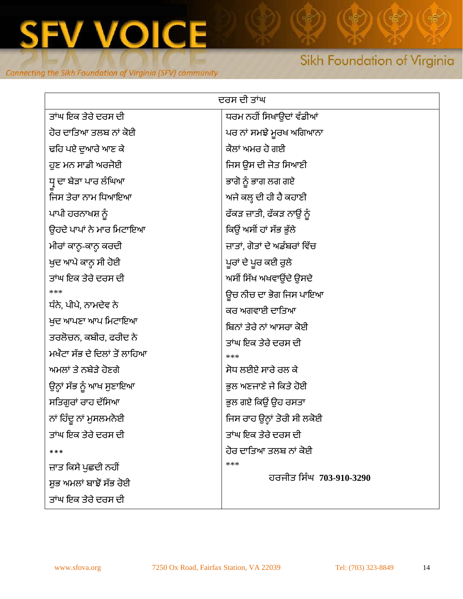

# Sikh Foundation of Virginia

| ਦਰਸ ਦੀ ਤਾਂਘ                  |                               |  |  |
|------------------------------|-------------------------------|--|--|
| ਤਾਂਘ ਇਕ ਤੇਰੇ ਦਰਸ ਦੀ          | ਧਰਮ ਨਹੀਂ ਸਿਖਾਉਦਾਂ ਵੰਡੀਆਂ      |  |  |
| ਹੋਰ ਦਾਤਿਆ ਤਲਬ ਨਾਂ ਕੋਈ        | ਪਰ ਨਾਂ ਸਮਝੇ ਮੁਰਖ ਅਗਿਆਨਾ       |  |  |
| ਢਹਿ ਪਏ ਦੁਆਰੇ ਆਣ ਕੇ           | ਕੈਲਾਂ ਅਮਰ ਹੋ ਗਈ               |  |  |
| ਹੁਣ ਮਨ ਸਾਡੀ ਅਰਜੋਈ            | ਜਿਸ ਉਸ ਦੀ ਜੋਤ ਸਿਆਣੀ           |  |  |
| ਧ੍ਰ ਦਾ ਬੇੜਾ ਪਾਰ ਲੰਘਿਆ        | ਭਾਗੋ ਨੂੰ ਭਾਗ ਲਗ ਗਏ            |  |  |
| ਜਿਸ ਤੇਰਾ ਨਾਮ ਧਿਆਇਆ           | ਅਜੇ ਕਲ੍ਹ ਦੀ ਹੀ ਹੈ ਕਹਾਣੀ       |  |  |
| ਪਾਪੀ ਹਰਨਾਖਸ਼ ਨੂੰ             | ਫੱਕੜ ਜ਼ਾਤੀ, ਫੱਕੜ ਨਾਉਂ ਨੂੰ     |  |  |
| ਉਹਦੇ ਪਾਪਾਂ ਨੇ ਮਾਰ ਮਿਟਾਇਆ     | ਕਿਉਂ ਅਸੀਂ ਹਾਂ ਸੱਭ ਭੁੱਲੇ       |  |  |
| ਮੀਰਾਂ ਕਾਨ੍ਹ-ਕਾਨ੍ਹ ਕਰਦੀ       | ਜ਼ਾਤਾਂ, ਗੋਤਾਂ ਦੇ ਅਡੰਬਰਾਂ ਵਿੱਚ |  |  |
| ਖੁਦ ਆਪੇ ਕਾਨ੍ਹ ਸੀ ਹੋਈ         | ਪੁਰਾਂ ਦੇ ਪੁਰ ਕਈ ਰੁਲੇ          |  |  |
| ਤਾਂਘ ਇਕ ਤੇਰੇ ਦਰਸ ਦੀ          | ਅਸੀਂ ਸਿੱਖ ਅਖਵਾਉਂਦੇ ਉਸਦੇ       |  |  |
| ***                          | ਉਚ ਨੀਚ ਦਾ ਭੋਗ ਜਿਸ ਪਾਇਆ        |  |  |
| ਧੰਨੇ, ਪੀਪੇ, ਨਾਮਦੇਵ ਨੇ        | ਕਰ ਅਗਵਾਈ ਦਾਤਿਆ                |  |  |
| ਖ਼ੁਦ ਆਪਣਾ ਆਪ ਮਿਟਾਇਆ          | ਬਿਨਾਂ ਤੇਰੇ ਨਾਂ ਆਸਰਾ ਕੋਈ       |  |  |
| ਤਰਲੋਚਨ, ਕਬੀਰ, ਫਰੀਦ ਨੇ        | ਤਾਂਘ ਇਕ ਤੇਰੇ ਦਰਸ ਦੀ           |  |  |
| ਮਖੰਟਾ ਸੱਭ ਦੇ ਦਿਲਾਂ ਤੋਂ ਲਾਹਿਆ | ***                           |  |  |
| ਅਮਲਾਂ ਤੇ ਨਬੇਤੇ ਹੋਣਗੇ         | ਸੋਧ ਲਈਏ ਸਾਰੇ ਰਲ ਕੇ            |  |  |
| ਉਨ੍ਹਾਂ ਸੱਭ ਨੂੰ ਆਖ ਸੁਣਾਇਆ     | ਭੁਲ ਅਣਜਾਣੇ ਜੇ ਕਿਤੇ ਹੋਈ        |  |  |
| ਸਤਿਗੁਰਾਂ ਰਾਹ ਦੱਸਿਆ           | ਭੁਲ ਗਏ ਕਿਉਂ ਉਹ ਰਸਤਾ           |  |  |
| ਨਾਂ ਹਿੰਦੂ ਨਾਂ ਮੁਸਲਮਨੋਈ       | ਜਿਸ ਰਾਹ ਉਨ੍ਹਾਂ ਤੋਰੀ ਸੀ ਲਕੋਈ   |  |  |
| ਤਾਂਘ ਇਕ ਤੇਰੇ ਦਰਸ ਦੀ          | ਤਾਂਘ ਇਕ ਤੇਰੇ ਦਰਸ ਦੀ           |  |  |
| ***                          | ਹੋਰ ਦਾਤਿਆ ਤਲਬ ਨਾਂ ਕੋਈ         |  |  |
| ਜ਼ਾਤ ਕਿਸੇ ਪੁਛਦੀ ਨਹੀਂ         | ***                           |  |  |
| ਸ਼ੁਭ ਅਮਲਾਂ ਬਾਝੋਂ ਸੱਭ ਰੋਈ     | ਹਰਜੀਤ ਸਿੰਘ 703-910-3290       |  |  |
| ਤਾਂਘ ਇਕ ਤੇਰੇ ਦਰਸ ਦੀ          |                               |  |  |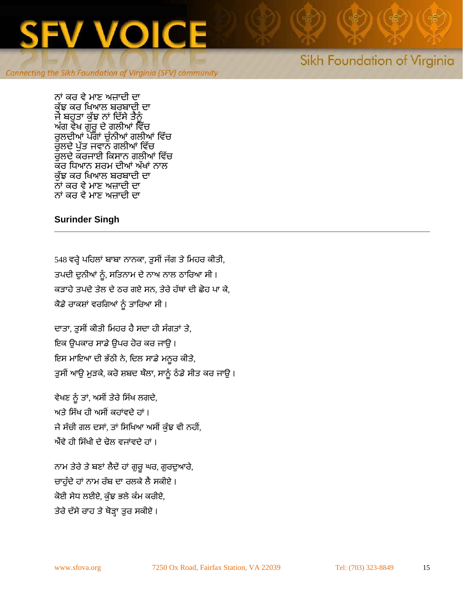

# Sikh Foundation of Virginia

ਨਾਂ ਕਰ ਵੇ ਮਾਣ ਅਜ਼ਾਦੀ ਦਾ ਕੱਝ ਕਰ ਖਿਆਲ ਬਰਬਾਦੀ ਦਾ ਜੇ ਬਹੁਤਾ ਕੱਝ ਨਾਂ ਦਿੱਸੇ ਤੈਨੰ ਅੰਗ ਵੇਖ ਗੁਰ ਦੇ ਗਲੀਆਂ ਵਿੱਚ ਰੁਲਦੀਆਂ ਪੱਗਾਂ ਚੁੰਨੀਆਂ ਗਲੀਆਂ ਵਿੱਚ ਰਲਦੇ ਪੱਤ ਜਵਾਨ ਗਲੀਆਂ ਵਿੱਚ ਰੌਲਦੇ ਕਰਜਾਈ ਕਿਸਾਨ ਗਲੀਆਂ ਵਿੱਚ ਕਰ ਧਿਆਨ ਸ਼ਰਮ ਦੀਆਂ ਅੱਖਾਂ ਨਾਲ ਕੁੱਝ ਕਰ ਿਖਆਲ ਬਰਬਾਦੀ ਦਾ ਨਾਂ ਕਰ ਵੇ ਮਾਣ ਅਜ਼ਾਦੀ ਦਾ ਨਾਂ ਕਰ ਵੇ ਮਾਣ ਅਜ਼ਾਦੀ ਦਾ

#### **Surinder Singh**

548 ਵਰ੍ਹੇ ਪਹਿਲਾਂ ਬਾਬਾ ਨਾਨਕਾ, ਤੁਸੀਂ ਜੱਗ ਤੇ ਮਿਹਰ ਕੀਤੀ, ਤਪਦੀ ਦੁਨੀਆਂ ਨੂੰ , ਸਿਤਨਾਮ ਦੇ ਨਾਅ ਨਾਲ ਠਾਿਰਆ ਸੀ । ਕੜਾਹੇ ਤਪਦੇ ਤੇਲ ਦੇ ਠਰ ਗਏ ਸਨ, ਤੇਰੇ ਹੱਥਾਂ ਦੀ ਛੋਹ ਪਾ ਕੇ, ਕੈਡੇ ਰਾਕਸ਼ਾਂ ਵਰਗਿਆਂ ਨੂੰ ਤਾਰਿਆ ਸੀ ।

ਦਾਤਾ, ਤੁਸੀਂ ਕੀਤੀ ਮਿਹਰ ਹੈ ਸਦਾ ਹੀ ਸੰਗਤਾਂ ਤੇ, ਇਕ ਉਪਕਾਰ ਸਾਡੇ ਉਪਰ ਹੋਰ ਕਰ ਜਾਉ । ਇਸ ਮਾਇਆ ਦੀ ਭੱਠੀ ਨ�, ਿਦਲ ਸਾਡੇ ਮਨੂਰ ਕੀਤੇ, ਤੁਸੀਂ ਆਉ ਮੁੜਕੇ, ਕਰੋ ਸ਼ਬਦ ਥੌਲਾ, ਸਾਨੂੰ ਠੰਡੇ ਸੀਤ ਕਰ ਜਾਉ।

ਵੇਖਣ ਨੂੰ ਤਾਂ, ਅਸੀਂ ਤੇਰੇ ਸਿੱਖ ਲਗਦੇ, ਅਤੇ ਸਿੱਖ ਹੀ ਅਸੀਂ ਕਹਾਂਵਦੇ ਹਾਂ । ਜੇ ਸੱਚੀ ਗਲ ਦਸਾਂ, ਤਾਂ ਸਿਖਿਆ ਅਸੀਂ ਕੱਝ ਵੀ ਨਹੀਂ, ਐਂਵੇ ਹੀ ਸਿੱਖੀ ਦੇ ਢੋਲ ਵਜਾਂਵਦੇ ਹਾਂ ।

ਨਾਮ ਤੇਰੇ ਤੇ ਬਣਾਂ ਲੈਦੇਂ ਹਾਂ ਗੁਰੂ ਘਰ, ਗੁਰਦੁਆਰੇ, ਚਾਹੰਦੇ ਹਾਂ ਨਾਮ ਰੱਬ ਦਾ ਰਲਕੇ ਲੈ ਸਕੀਏ। ਕੋਈ ਸੇਧ ਲਈਏ, ਕੁੱਝ ਭਲੇ ਕੰਮ ਕਰੀਏ, ਤੇਰੇ ਦੱਸੇ ਰਾਹ ਤੇ ਥੋੜ੍ਹਾ ਤੁਰ ਸਕੀਏ।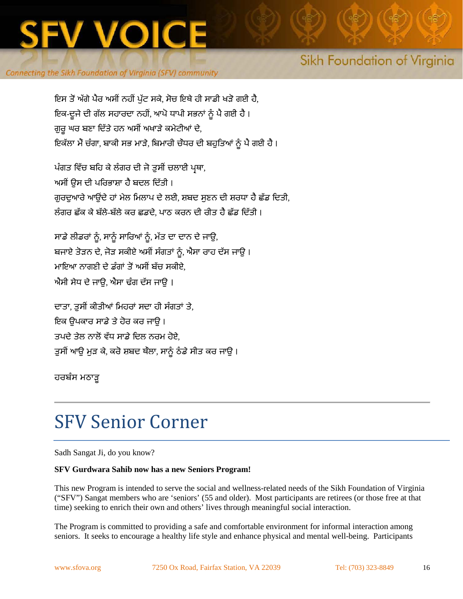

# Sikh Foundation of Virginia

ਇਸ ਤੋਂ ਅੱਗੇ ਪੈਰ ਅਸੀਂ ਨਹੀਂ ਪੁੱਟ ਸਕੇ, ਸੋਚ ਇਥੇ ਹੀ ਸਾਡੀ ਖੜੋ ਗਈ ਹੈ, ਇਕ-ਦੂਜੇ ਦੀ ਗੱਲ ਸਹਾਰਦਾ ਨਹੀਂ, ਆਪੋ ਧਾਪੀ ਸਭਨਾਂ ਨੂੰ ਪੈ ਗਈ ਹੈ । ਗੁਰੂ ਘਰ ਬਣਾ ਦਿੱਤੇ ਹਨ ਅਸੀਂ ਅਖਾੜੇ ਕਮੇਟੀਆਂ ਦੇ, ਇਕੱਲਾ ਮੈਂ ਚੰਗਾ, ਬਾਕੀ ਸਭ ਮਾੜੇ, ਬਿਮਾਰੀ ਚੌਧਰ ਦੀ ਬਹੁਤਿਆਂ ਨੂੰ ਪੈ ਗਈ ਹੈ।

ਪੰਗਤ ਵਿੱਚ ਬਹਿ ਕੇ ਲੰਗਰ ਦੀ ਜੋ ਤੁਸੀਂ ਚਲਾਈ ਪ੍ਰਥਾ, ਅਸੀਂ ਉਸ ਦੀ ਪਰਿਭਾਸ਼ਾ ਹੈ ਬਦਲ ਦਿੱਤੀ । ਗੁਰਦੁਆਰੇ ਆਉਂਦੇ ਹਾਂ ਮੇਲ ਮਿਲਾਪ ਦੇ ਲਈ, ਸ਼ਬਦ ਸੁਣਨ ਦੀ ਸ਼ਰਧਾ ਹੈ ਛੱਡ ਦਿਤੀ, ਲੰ ਗਰ ਛੱਕ ਕੇ ਬੱਲੇ-ਬੱਲੇ ਕਰ ਛਡਦੇ, ਪਾਠ ਕਰਨ ਦੀ ਰੀਤ ਹੈ ਛੱਡ ਿਦੱਤੀ ।

ਸਾਡੇ ਲੀਡਰਾਂ ਨੂੰ, ਸਾਨੂੰ ਸਾਰਿਆਂ ਨੂੰ, ਮੱਤ ਦਾ ਦਾਨ ਦੇ ਜਾਉ, ਬਜਾਏ ਤੋੜਨ ਦੇ, ਜੋੜ ਸਕੀਏ ਅਸੀਂ ਸੰਗਤਾਂ ਨੂੰ, ਐਸਾ ਰਾਹ ਦੱਸ ਜਾਉ । ਮਾਇਆ ਨਾਗਣੀ ਦੇ ਡੰਗਾਂ ਤੋਂ ਅਸੀਂ ਬੱਚ ਸਕੀਏ, ਐਸੀ ਸੇਧ ਦੇ ਜਾਉ, ਐਸਾ ਢੰਗ ਦੱਸ ਜਾਉ ।

ਦਾਤਾ, ਤੁਸੀਂ ਕੀਤੀਆਂ ਮਿਹਰਾਂ ਸਦਾ ਹੀ ਸੰਗਤਾਂ ਤੇ, ਇਕ ਉਪਕਾਰ ਸਾਡੇ ਤੇ ਹੋਰ ਕਰ ਜਾਉ । ਤਪਦੇ ਤੇਲ ਨਾਲੋਂ ਵੱਧ ਸਾਡੇ ਦਿਲ ਨਰਮ ਹੋਏ. ਤੁਸੀਂ ਆਉ ਮੁੜ ਕੇ, ਕਰੋ ਸ਼ਬਦ ਥੌਲਾ, ਸਾਨੂੰ ਠੰਡੇ ਸੀਤ ਕਰ ਜਾਉ।

ਹਰਬੰਸ ਮਠਾੜੂ

# SFV Senior Corner

Sadh Sangat Ji, do you know?

#### **SFV Gurdwara Sahib now has a new Seniors Program!**

This new Program is intended to serve the social and wellness-related needs of the Sikh Foundation of Virginia ("SFV") Sangat members who are 'seniors' (55 and older). Most participants are retirees (or those free at that time) seeking to enrich their own and others' lives through meaningful social interaction.

The Program is committed to providing a safe and comfortable environment for informal interaction among seniors. It seeks to encourage a healthy life style and enhance physical and mental well-being. Participants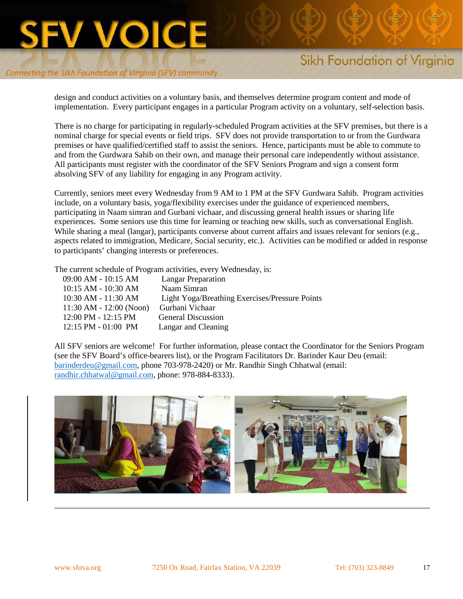

# Sikh Foundation of Virginia

design and conduct activities on a voluntary basis, and themselves determine program content and mode of implementation. Every participant engages in a particular Program activity on a voluntary, self-selection basis.

There is no charge for participating in regularly-scheduled Program activities at the SFV premises, but there is a nominal charge for special events or field trips. SFV does not provide transportation to or from the Gurdwara premises or have qualified/certified staff to assist the seniors. Hence, participants must be able to commute to and from the Gurdwara Sahib on their own, and manage their personal care independently without assistance. All participants must register with the coordinator of the SFV Seniors Program and sign a consent form absolving SFV of any liability for engaging in any Program activity.

Currently, seniors meet every Wednesday from 9 AM to 1 PM at the SFV Gurdwara Sahib. Program activities include, on a voluntary basis, yoga/flexibility exercises under the guidance of experienced members, participating in Naam simran and Gurbani vichaar, and discussing general health issues or sharing life experiences. Some seniors use this time for learning or teaching new skills, such as conversational English. While sharing a meal (langar), participants converse about current affairs and issues relevant for seniors (e.g., aspects related to immigration, Medicare, Social security, etc.). Activities can be modified or added in response to participants' changing interests or preferences.

The current schedule of Program activities, every Wednesday, is:

| 09:00 AM - 10:15 AM         | <b>Langar Preparation</b>                             |
|-----------------------------|-------------------------------------------------------|
| 10:15 AM - 10:30 AM         | Naam Simran                                           |
| 10:30 AM - 11:30 AM         | <b>Light Yoga/Breathing Exercises/Pressure Points</b> |
| $11:30$ AM - $12:00$ (Noon) | Gurbani Vichaar                                       |
| 12:00 PM - 12:15 PM         | <b>General Discussion</b>                             |
| $12:15$ PM $-01:00$ PM      | Langar and Cleaning                                   |
|                             |                                                       |

All SFV seniors are welcome! For further information, please contact the Coordinator for the Seniors Program (see the SFV Board's office-bearers list), or the Program Facilitators Dr. Barinder Kaur Deu (email: [barinderdeu@gmail.com,](mailto:barinderdeu@gmail.com) phone 703-978-2420) or Mr. Randhir Singh Chhatwal (email: [randhir.chhatwal@gmail.com,](mailto:randhir.chhatwal@gmail.com) phone: 978-884-8333).

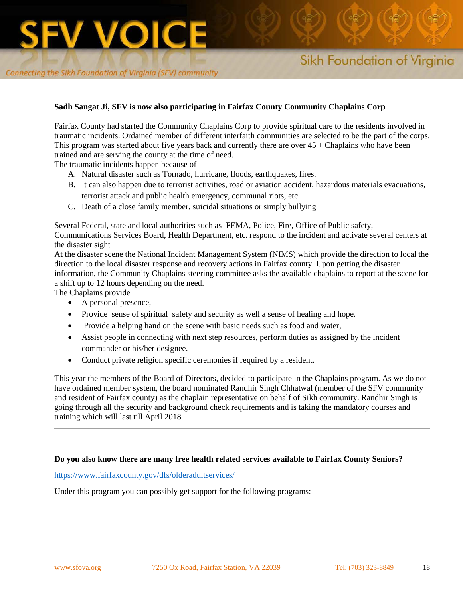#### **Sadh Sangat Ji, SFV is now also participating in Fairfax County Community Chaplains Corp**

Fairfax County had started the Community Chaplains Corp to provide spiritual care to the residents involved in traumatic incidents. Ordained member of different interfaith communities are selected to be the part of the corps. This program was started about five years back and currently there are over 45 + Chaplains who have been trained and are serving the county at the time of need.

The traumatic incidents happen because of

- A. Natural disaster such as Tornado, hurricane, floods, earthquakes, fires.
- B. It can also happen due to terrorist activities, road or aviation accident, hazardous materials evacuations, terrorist attack and public health emergency, communal riots, etc
- C. Death of a close family member, suicidal situations or simply bullying

Several Federal, state and local authorities such as FEMA, Police, Fire, Office of Public safety,

Communications Services Board, Health Department, etc. respond to the incident and activate several centers at the disaster sight

At the disaster scene the National Incident Management System (NIMS) which provide the direction to local the direction to the local disaster response and recovery actions in Fairfax county. Upon getting the disaster information, the Community Chaplains steering committee asks the available chaplains to report at the scene for a shift up to 12 hours depending on the need.

The Chaplains provide

- A personal presence,
- Provide sense of spiritual safety and security as well a sense of healing and hope.
- Provide a helping hand on the scene with basic needs such as food and water,
- Assist people in connecting with next step resources, perform duties as assigned by the incident commander or his/her designee.
- Conduct private religion specific ceremonies if required by a resident.

This year the members of the Board of Directors, decided to participate in the Chaplains program. As we do not have ordained member system, the board nominated Randhir Singh Chhatwal (member of the SFV community and resident of Fairfax county) as the chaplain representative on behalf of Sikh community. Randhir Singh is going through all the security and background check requirements and is taking the mandatory courses and training which will last till April 2018.

#### **Do you also know there are many free health related services available to Fairfax County Seniors?**

<https://www.fairfaxcounty.gov/dfs/olderadultservices/>

Under this program you can possibly get support for the following programs: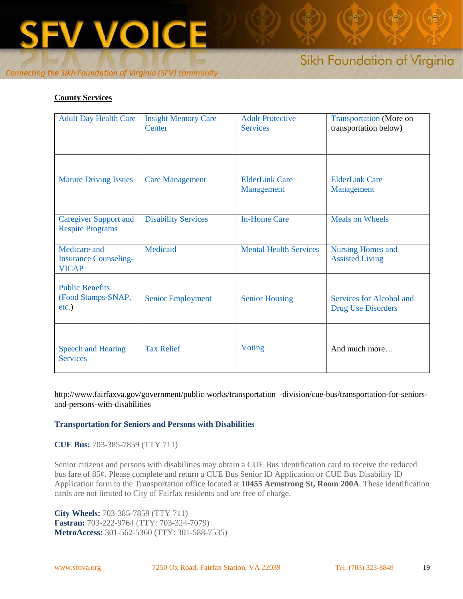

### **County Services**

| <b>Adult Day Health Care</b>                                 | <b>Insight Memory Care</b><br>Center | <b>Adult Protective</b><br><b>Services</b> | <b>Transportation</b> (More on<br>transportation below) |
|--------------------------------------------------------------|--------------------------------------|--------------------------------------------|---------------------------------------------------------|
| <b>Mature Driving Issues</b>                                 | <b>Care Management</b>               | <b>ElderLink Care</b><br>Management        | <b>ElderLink Care</b><br>Management                     |
| <b>Caregiver Support and</b><br><b>Respite Programs</b>      | <b>Disability Services</b>           | <b>In-Home Care</b>                        | <b>Meals on Wheels</b>                                  |
| Medicare and<br><b>Insurance Counseling-</b><br><b>VICAP</b> | Medicaid                             | <b>Mental Health Services</b>              | <b>Nursing Homes and</b><br><b>Assisted Living</b>      |
| <b>Public Benefits</b><br>(Food Stamps-SNAP,<br>$etc.$ )     | <b>Senior Employment</b>             | <b>Senior Housing</b>                      | Services for Alcohol and<br><b>Drug Use Disorders</b>   |
| <b>Speech and Hearing</b><br><b>Services</b>                 | <b>Tax Relief</b>                    | Voting                                     | And much more                                           |

http://www.fairfaxva.gov/government/public-works/transportation -division/cue-bus/transportation-for-seniorsand-persons-with-disabilities

#### **Transportation for Seniors and Persons with Disabilities**

**CUE Bus:** 703-385-7859 (TTY 711)

Senior citizens and persons with disabilities may obtain a CUE Bus identification card to receive the reduced bus fare of 85¢. Please complete and return a CUE Bus Senior ID Application or CUE Bus Disability ID Application form to the Transportation office located at **10455 Armstrong St, Room 200A**. These identification cards are not limited to City of Fairfax residents and are free of charge.

**City Wheels:** 703-385-7859 (TTY 711) **Fastran:** 703-222-9764 (TTY: 703-324-7079) **MetroAccess:** 301-562-5360 (TTY: 301-588-7535)